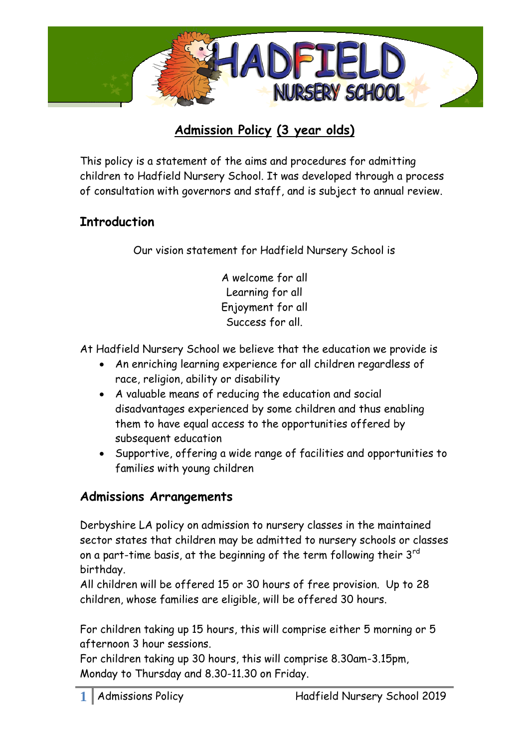

# **Admission Policy (3 year olds)**

This policy is a statement of the aims and procedures for admitting children to Hadfield Nursery School. It was developed through a process of consultation with governors and staff, and is subject to annual review.

### **Introduction**

Our vision statement for Hadfield Nursery School is

A welcome for all Learning for all Enjoyment for all Success for all.

At Hadfield Nursery School we believe that the education we provide is

- An enriching learning experience for all children regardless of race, religion, ability or disability
- A valuable means of reducing the education and social disadvantages experienced by some children and thus enabling them to have equal access to the opportunities offered by subsequent education
- Supportive, offering a wide range of facilities and opportunities to families with young children

### **Admissions Arrangements**

Derbyshire LA policy on admission to nursery classes in the maintained sector states that children may be admitted to nursery schools or classes on a part-time basis, at the beginning of the term following their 3<sup>rd</sup> birthday.

All children will be offered 15 or 30 hours of free provision. Up to 28 children, whose families are eligible, will be offered 30 hours.

For children taking up 15 hours, this will comprise either 5 morning or 5 afternoon 3 hour sessions.

For children taking up 30 hours, this will comprise 8.30am-3.15pm, Monday to Thursday and 8.30-11.30 on Friday.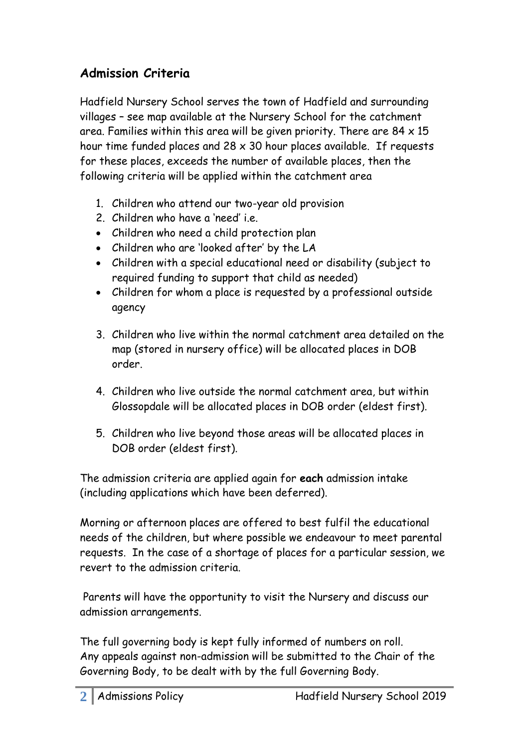## **Admission Criteria**

Hadfield Nursery School serves the town of Hadfield and surrounding villages – see map available at the Nursery School for the catchment area. Families within this area will be given priority. There are  $84 \times 15$ hour time funded places and  $28 \times 30$  hour places available. If requests for these places, exceeds the number of available places, then the following criteria will be applied within the catchment area

- 1. Children who attend our two-year old provision
- 2. Children who have a 'need' i.e.
- Children who need a child protection plan
- Children who are 'looked after' by the LA
- Children with a special educational need or disability (subject to required funding to support that child as needed)
- Children for whom a place is requested by a professional outside agency
- 3. Children who live within the normal catchment area detailed on the map (stored in nursery office) will be allocated places in DOB order.
- 4. Children who live outside the normal catchment area, but within Glossopdale will be allocated places in DOB order (eldest first).
- 5. Children who live beyond those areas will be allocated places in DOB order (eldest first).

The admission criteria are applied again for **each** admission intake (including applications which have been deferred).

Morning or afternoon places are offered to best fulfil the educational needs of the children, but where possible we endeavour to meet parental requests. In the case of a shortage of places for a particular session, we revert to the admission criteria.

Parents will have the opportunity to visit the Nursery and discuss our admission arrangements.

The full governing body is kept fully informed of numbers on roll. Any appeals against non-admission will be submitted to the Chair of the Governing Body, to be dealt with by the full Governing Body.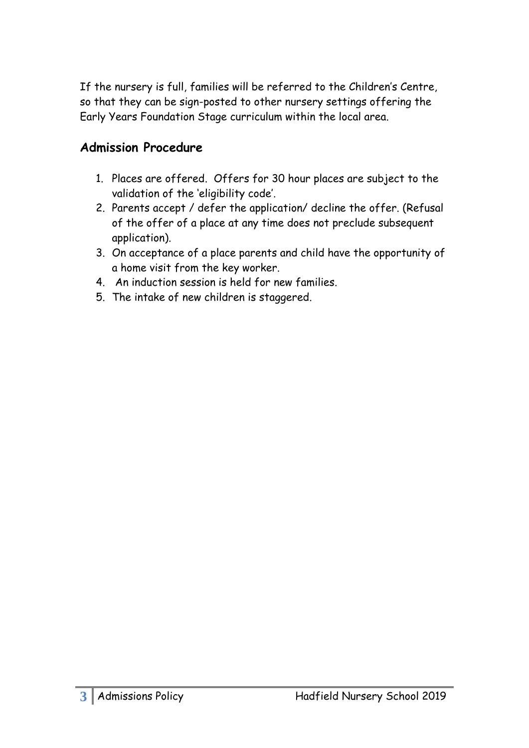If the nursery is full, families will be referred to the Children's Centre, so that they can be sign-posted to other nursery settings offering the Early Years Foundation Stage curriculum within the local area.

#### **Admission Procedure**

- 1. Places are offered. Offers for 30 hour places are subject to the validation of the 'eligibility code'.
- 2. Parents accept / defer the application/ decline the offer. (Refusal of the offer of a place at any time does not preclude subsequent application).
- 3. On acceptance of a place parents and child have the opportunity of a home visit from the key worker.
- 4. An induction session is held for new families.
- 5. The intake of new children is staggered.